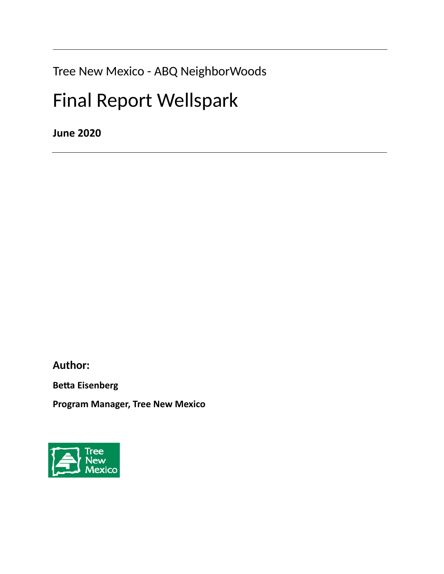Tree New Mexico - ABQ NeighborWoods

# Final Report Wellspark

**June 2020**

**Author:**

**Betta Eisenberg**

**Program Manager, Tree New Mexico**

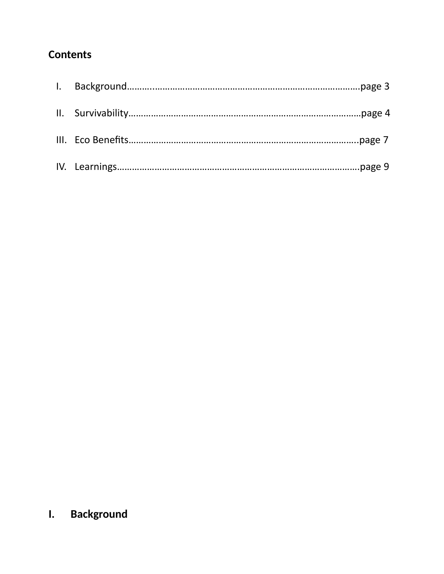## **Contents**

## **I. Background**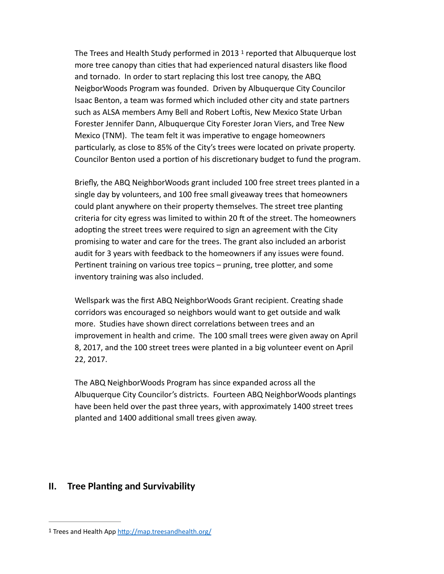<span id="page-2-1"></span>TheTrees and Health Study performed in 20[1](#page-2-0)3  $1$  reported that Albuquerque lost more tree canopy than cities that had experienced natural disasters like flood and tornado. In order to start replacing this lost tree canopy, the ABQ NeigborWoods Program was founded. Driven by Albuquerque City Councilor Isaac Benton, a team was formed which included other city and state partners such as ALSA members Amy Bell and Robert Loftis, New Mexico State Urban Forester Jennifer Dann, Albuquerque City Forester Joran Viers, and Tree New Mexico (TNM). The team felt it was imperative to engage homeowners particularly, as close to 85% of the City's trees were located on private property. Councilor Benton used a portion of his discretionary budget to fund the program.

Briefly, the ABQ NeighborWoods grant included 100 free street trees planted in a single day by volunteers, and 100 free small giveaway trees that homeowners could plant anywhere on their property themselves. The street tree planting criteria for city egress was limited to within 20 ft of the street. The homeowners adopting the street trees were required to sign an agreement with the City promising to water and care for the trees. The grant also included an arborist audit for 3 years with feedback to the homeowners if any issues were found. Pertinent training on various tree topics – pruning, tree plotter, and some inventory training was also included.

Wellspark was the first ABQ NeighborWoods Grant recipient. Creating shade corridors was encouraged so neighbors would want to get outside and walk more. Studies have shown direct correlations between trees and an improvement in health and crime. The 100 small trees were given away on April 8, 2017, and the 100 street trees were planted in a big volunteer event on April 22, 2017.

The ABQ NeighborWoods Program has since expanded across all the Albuquerque City Councilor's districts. Fourteen ABQ NeighborWoods plantings have been held over the past three years, with approximately 1400 street trees planted and 1400 additional small trees given away.

#### **II. Tree Planting and Survivability**

<span id="page-2-0"></span><sup>1</sup> Trees and Health App<http://map.treesandhealth.org/>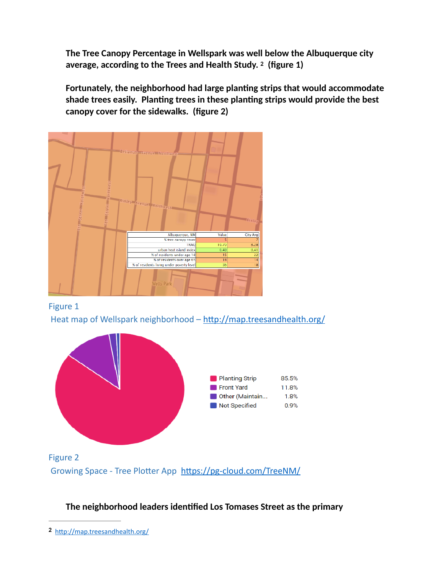<span id="page-3-1"></span>**The Tree Canopy Percentage in Wellspark was well below the Albuquerque city average, according to the Trees and Health Study.(figure 1) <sup>2</sup>**

**Fortunately, the neighborhood had large planting strips that would accommodate shade trees easily. Planting trees in these planting strips would provide the best canopy cover for the sidewalks. (figure 2)**









**The neighborhood leaders identified Los Tomases Street as the primary** 

<span id="page-3-0"></span><http://map.treesandhealth.org/> **[2](#page-3-1)**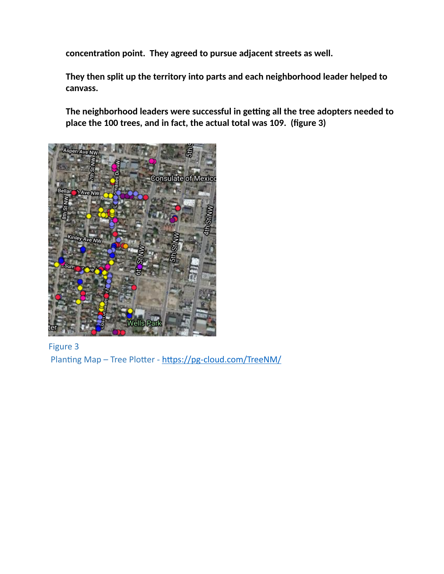**concentration point. They agreed to pursue adjacent streets as well.** 

**They then split up the territory into parts and each neighborhood leader helped to canvass.**

**The neighborhood leaders were successful in getting all the tree adopters needed to place the 100 trees, and in fact, the actual total was 109. (figure 3)**



Figure 3 Planting Map – Tree Plotter - <https://pg-cloud.com/TreeNM/>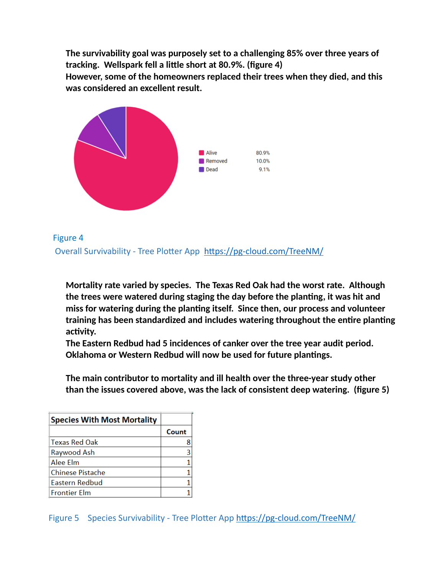**The survivability goal was purposely set to a challenging 85% over three years of tracking. Wellspark fell a little short at 80.9%. (figure 4) However, some of the homeowners replaced their trees when they died, and this was considered an excellent result.** 



Figure 4 Overall Survivability - Tree Plotter App <https://pg-cloud.com/TreeNM/>

**Mortality rate varied by species. The Texas Red Oak had the worst rate. Although the trees were watered during staging the day before the planting, it was hit and miss for watering during the planting itself. Since then, our process and volunteer training has been standardized and includes watering throughout the entire planting activity.** 

**The Eastern Redbud had 5 incidences of canker over the tree year audit period. Oklahoma or Western Redbud will now be used for future plantings.** 

**The main contributor to mortality and ill health over the three-year study other than the issues covered above, was the lack of consistent deep watering. (figure 5)**

| <b>Species With Most Mortality</b> |       |
|------------------------------------|-------|
|                                    | Count |
| <b>Texas Red Oak</b>               |       |
| Raywood Ash                        | 3     |
| Alee Elm                           |       |
| Chinese Pistache                   |       |
| Eastern Redbud                     |       |
| <b>Frontier Elm</b>                |       |

Figure 5 Species Survivability - Tree Plotter App <https://pg-cloud.com/TreeNM/>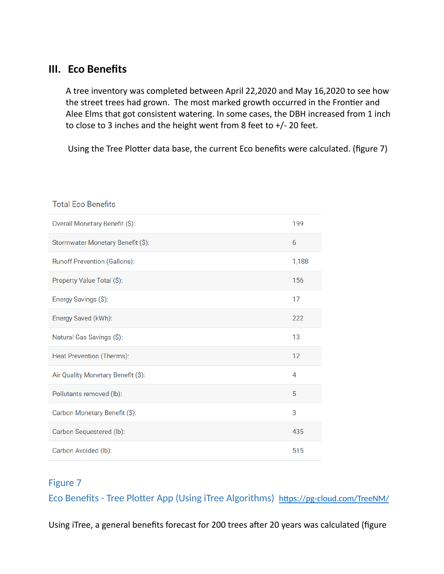## **III. Eco Benefits**

A tree inventory was completed between April 22,2020 and May 16,2020 to see how the street trees had grown. The most marked growth occurred in the Frontier and Alee Elms that got consistent watering. In some cases, the DBH increased from 1 inch to close to 3 inches and the height went from 8 feet to +/- 20 feet.

Using the Tree Plotter data base, the current Eco benefits were calculated. (figure 7)

#### **Total Eco Benefits**

| Overall Monetary Benefit (\$):      | 199   |
|-------------------------------------|-------|
| Stormwater Monetary Benefit (\$):   | 6     |
| <b>Runoff Prevention (Gallons):</b> | 1,188 |
| Property Value Total (\$):          | 156   |
| Energy Savings (\$):                | 17    |
| Energy Saved (kWh):                 | 222   |
| Natural Gas Savings (\$):           | 13    |
| Heat Prevention (Therms):           | 12    |
| Air Quality Monetary Benefit (\$):  | 4     |
| Pollutants removed (lb):            | 5     |
| Carbon Monetary Benefit (\$):       | 3     |
| Carbon Sequestered (lb):            | 435   |
| Carbon Avoided (lb):                | 515   |

#### Figure 7

Eco Benefits - Tree Plotter App (Using iTree Algorithms) <https://pg-cloud.com/TreeNM/>

Using iTree, a general benefits forecast for 200 trees after 20 years was calculated (figure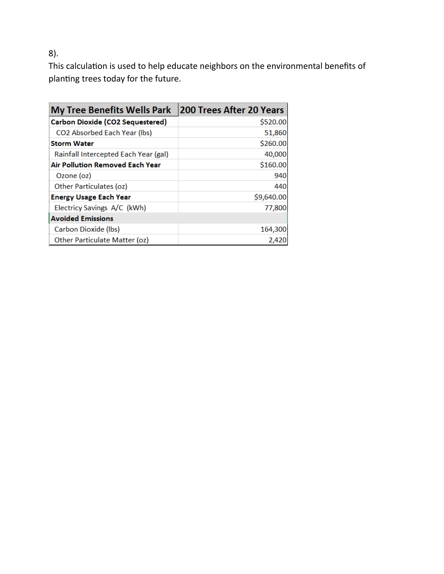8).

This calculation is used to help educate neighbors on the environmental benefits of planting trees today for the future.

| <b>My Tree Benefits Wells Park</b>   | <b>200 Trees After 20 Years</b> |  |  |
|--------------------------------------|---------------------------------|--|--|
| Carbon Dioxide (CO2 Sequestered)     | \$520.00                        |  |  |
| <b>CO2 Absorbed Each Year (lbs)</b>  | 51,860                          |  |  |
| <b>Storm Water</b>                   | \$260.00                        |  |  |
| Rainfall Intercepted Each Year (gal) | 40,000                          |  |  |
| Air Pollution Removed Each Year      | \$160.00                        |  |  |
| Ozone (oz)                           | 940                             |  |  |
| <b>Other Particulates (oz)</b>       | 440                             |  |  |
| <b>Energy Usage Each Year</b>        | \$9,640.00                      |  |  |
| Electricy Savings A/C (kWh)          | 77,800                          |  |  |
| <b>Avoided Emissions</b>             |                                 |  |  |
| Carbon Dioxide (lbs)                 | 164,300                         |  |  |
| Other Particulate Matter (oz)        | 2,420                           |  |  |